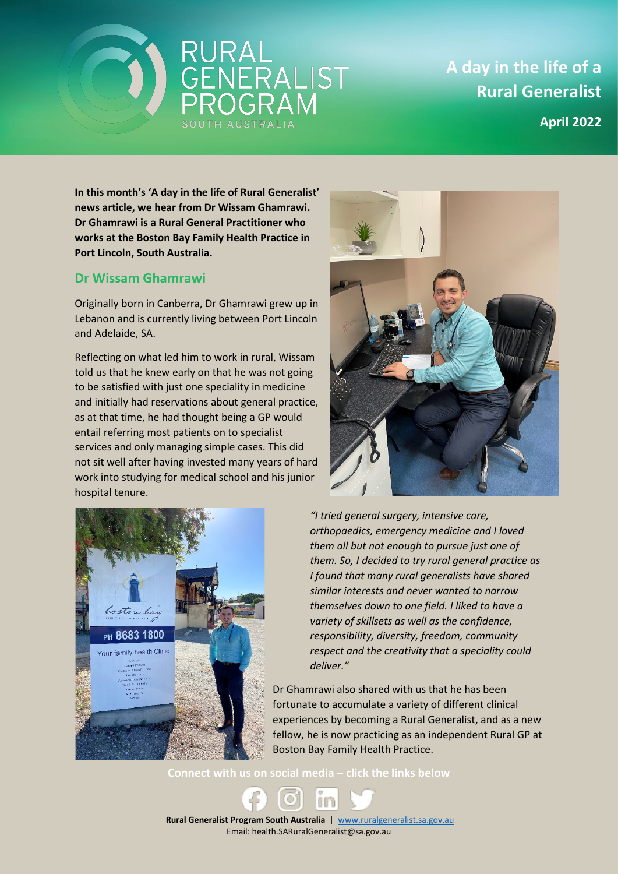



**A day in the life of a Rural Generalist**

**April 2022**

**In this month's 'A day in the life of Rural Generalist' news article, we hear from Dr Wissam Ghamrawi. Dr Ghamrawi is a Rural General Practitioner who works at the Boston Bay Family Health Practice in Port Lincoln, South Australia.**

## **Dr Wissam Ghamrawi**

Originally born in Canberra, Dr Ghamrawi grew up in Lebanon and is currently living between Port Lincoln and Adelaide, SA.

Reflecting on what led him to work in rural, Wissam told us that he knew early on that he was not going to be satisfied with just one speciality in medicine and initially had reservations about general practice, as at that time, he had thought being a GP would entail referring most patients on to specialist services and only managing simple cases. This did not sit well after having invested many years of hard work into studying for medical school and his junior hospital tenure.





*"I tried general surgery, intensive care, orthopaedics, emergency medicine and I loved them all but not enough to pursue just one of them. So, I decided to try rural general practice as I found that many rural generalists have shared similar interests and never wanted to narrow themselves down to one field. I liked to have a variety of skillsets as well as the confidence, responsibility, diversity, freedom, community respect and the creativity that a speciality could deliver."*

Dr Ghamrawi also shared with us that he has been fortunate to accumulate a variety of different clinical experiences by becoming a Rural Generalist, and as a new fellow, he is now practicing as an independent Rural GP at Boston Bay Family Health Practice.

**Connect with us on social media – click the links below**